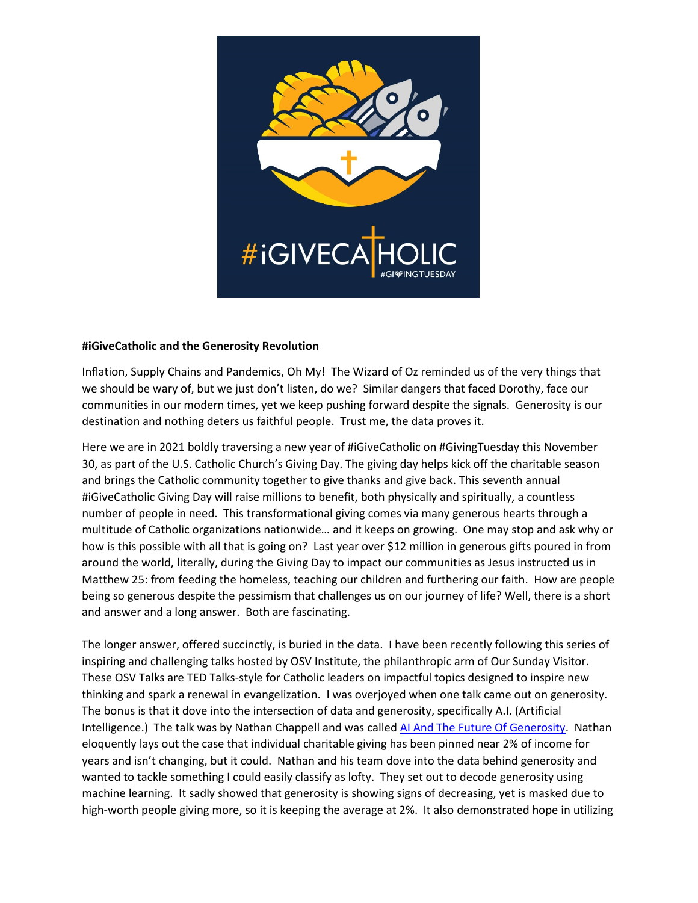

## **#iGiveCatholic and the Generosity Revolution**

Inflation, Supply Chains and Pandemics, Oh My! The Wizard of Oz reminded us of the very things that we should be wary of, but we just don't listen, do we? Similar dangers that faced Dorothy, face our communities in our modern times, yet we keep pushing forward despite the signals. Generosity is our destination and nothing deters us faithful people. Trust me, the data proves it.

Here we are in 2021 boldly traversing a new year of #iGiveCatholic on #GivingTuesday this November 30, as part of the U.S. Catholic Church's Giving Day. The giving day helps kick off the charitable season and brings the Catholic community together to give thanks and give back. This seventh annual #iGiveCatholic Giving Day will raise millions to benefit, both physically and spiritually, a countless number of people in need. This transformational giving comes via many generous hearts through a multitude of Catholic organizations nationwide… and it keeps on growing. One may stop and ask why or how is this possible with all that is going on? Last year over \$12 million in generous gifts poured in from around the world, literally, during the Giving Day to impact our communities as Jesus instructed us in Matthew 25: from feeding the homeless, teaching our children and furthering our faith. How are people being so generous despite the pessimism that challenges us on our journey of life? Well, there is a short and answer and a long answer. Both are fascinating.

The longer answer, offered succinctly, is buried in the data. I have been recently following this series of inspiring and challenging talks hosted by OSV Institute, the philanthropic arm of Our Sunday Visitor. These OSV Talks are TED Talks-style for Catholic leaders on impactful topics designed to inspire new thinking and spark a renewal in evangelization. I was overjoyed when one talk came out on generosity. The bonus is that it dove into the intersection of data and generosity, specifically A.I. (Artificial Intelligence.) The talk was by Nathan Chappell and was called [AI And The Future Of Generosity.](https://www.osvtalks.com/chappell) Nathan eloquently lays out the case that individual charitable giving has been pinned near 2% of income for years and isn't changing, but it could. Nathan and his team dove into the data behind generosity and wanted to tackle something I could easily classify as lofty. They set out to decode generosity using machine learning. It sadly showed that generosity is showing signs of decreasing, yet is masked due to high-worth people giving more, so it is keeping the average at 2%. It also demonstrated hope in utilizing